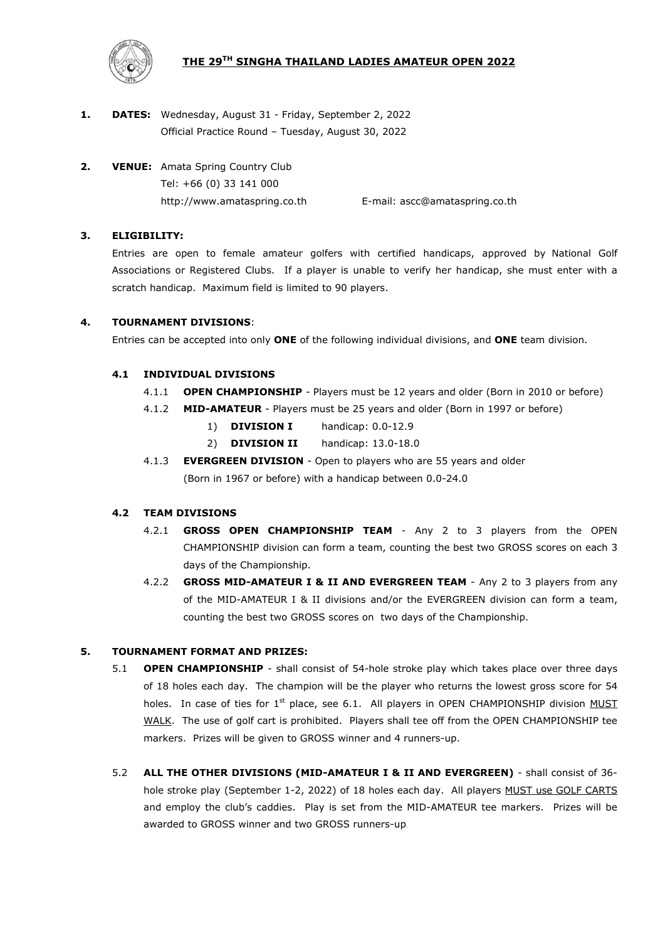# **THE 29TH SINGHA THAILAND LADIES AMATEUR OPEN 2022**



- **1. DATES:** Wednesday, August 31 Friday, September 2, 2022 Official Practice Round – Tuesday, August 30, 2022
- **2. VENUE:** Amata Spring Country Club Tel: [+66](file:///G:/amateur/27th%20Amateur%20Amata%20Spring%20CC%202019.05.14-16/+66 (02)) (0) 33 141 000 http://www.amataspring.co.th E-mail: ascc@amataspring.co.th

# **3. ELIGIBILITY:**

Entries are open to female amateur golfers with certified handicaps, approved by National Golf Associations or Registered Clubs. If a player is unable to verify her handicap, she must enter with a scratch handicap.Maximum field is limited to 90 players.

# **4. TOURNAMENT DIVISIONS**:

Entries can be accepted into only **ONE** of the following individual divisions, and **ONE** team division.

# **4.1 INDIVIDUAL DIVISIONS**

- 4.1.1 **OPEN CHAMPIONSHIP** Players must be 12 years and older (Born in 2010 or before)
- 4.1.2 **MID-AMATEUR** Players must be 25 years and older (Born in 1997 or before)
	- 1) **DIVISION I** handicap: 0.0-12.9
	- 2) **DIVISION II** handicap: 13.0-18.0
- 4.1.3 **EVERGREEN DIVISION** Open to players who are 55 years and older (Born in 1967 or before) with a handicap between 0.0-24.0

## **4.2 TEAM DIVISIONS**

- 4.2.1 **GROSS OPEN CHAMPIONSHIP TEAM** Any 2 to 3 players from the OPEN CHAMPIONSHIP division can form a team, counting the best two GROSS scores on each 3 days of the Championship.
- 4.2.2 **GROSS MID-AMATEUR I & II AND EVERGREEN TEAM** Any 2 to 3 players from any of the MID-AMATEUR I & II divisions and/or the EVERGREEN division can form a team, counting the best two GROSS scores on two days of the Championship.

## **5. TOURNAMENT FORMAT AND PRIZES:**

- 5.1 **OPEN CHAMPIONSHIP** shall consist of 54-hole stroke play which takes place over three days of 18 holes each day. The champion will be the player who returns the lowest gross score for 54 holes. In case of ties for  $1<sup>st</sup>$  place, see 6.1. All players in OPEN CHAMPIONSHIP division MUST WALK. The use of golf cart is prohibited. Players shall tee off from the OPEN CHAMPIONSHIP tee markers. Prizes will be given to GROSS winner and 4 runners-up.
- 5.2 **ALL THE OTHER DIVISIONS (MID-AMATEUR I & II AND EVERGREEN)** shall consist of 36 hole stroke play (September 1-2, 2022) of 18 holes each day. All players MUST use GOLF CARTS and employ the club's caddies. Play is set from the MID-AMATEUR tee markers. Prizes will be awarded to GROSS winner and two GROSS runners-up.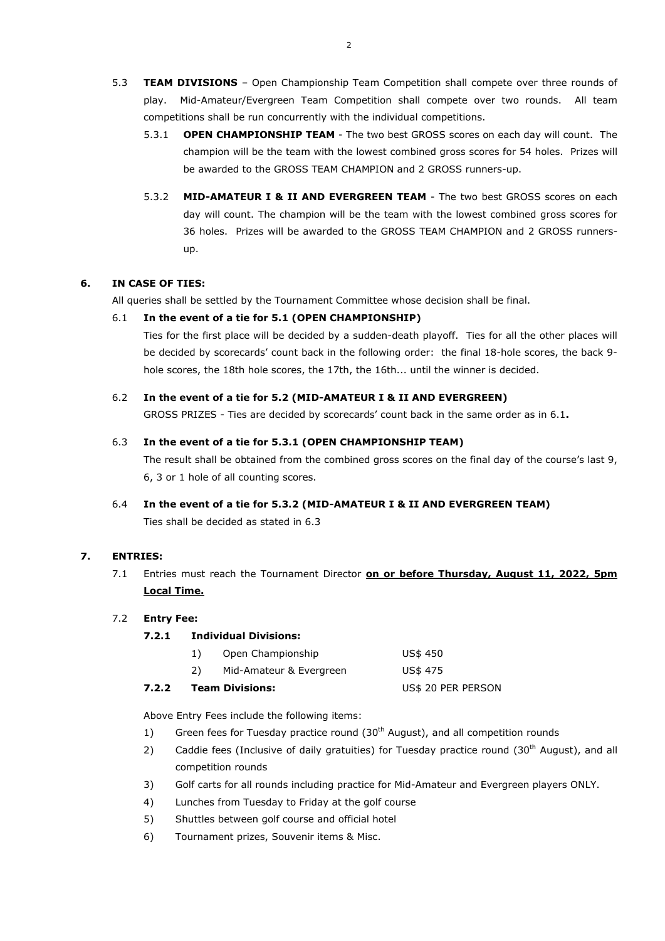- 5.3 **TEAM DIVISIONS** Open Championship Team Competition shall compete over three rounds of play. Mid-Amateur/Evergreen Team Competition shall compete over two rounds. All team competitions shall be run concurrently with the individual competitions.
	- 5.3.1 **OPEN CHAMPIONSHIP TEAM** The two best GROSS scores on each day will count. The champion will be the team with the lowest combined gross scores for 54 holes. Prizes will be awarded to the GROSS TEAM CHAMPION and 2 GROSS runners-up.
	- 5.3.2 **MID-AMATEUR I & II AND EVERGREEN TEAM** The two best GROSS scores on each day will count. The champion will be the team with the lowest combined gross scores for 36 holes. Prizes will be awarded to the GROSS TEAM CHAMPION and 2 GROSS runnersup.

# **6. IN CASE OF TIES:**

All queries shall be settled by the Tournament Committee whose decision shall be final.

## 6.1 **In the event of a tie for 5.1 (OPEN CHAMPIONSHIP)**

Ties for the first place will be decided by a sudden-death playoff. Ties for all the other places will be decided by scorecards' count back in the following order: the final 18-hole scores, the back 9 hole scores, the 18th hole scores, the 17th, the 16th... until the winner is decided.

## 6.2 **In the event of a tie for 5.2 (MID-AMATEUR I & II AND EVERGREEN)**

GROSS PRIZES - Ties are decided by scorecards' count back in the same order as in 6.1**.**

### 6.3 **In the event of a tie for 5.3.1 (OPEN CHAMPIONSHIP TEAM)**

The result shall be obtained from the combined gross scores on the final day of the course's last 9, 6, 3 or 1 hole of all counting scores.

6.4 **In the event of a tie for 5.3.2 (MID-AMATEUR I & II AND EVERGREEN TEAM)** Ties shall be decided as stated in 6.3

# **7. ENTRIES:**

7.1 Entries must reach the Tournament Director **on or before Thursday, August 11, 2022, 5pm Local Time.**

#### 7.2 **Entry Fee:**

#### **7.2.1 Individual Divisions:**

| 7.2.2 | <b>Team Divisions:</b> |                         | US\$ 20 PER PERSON |
|-------|------------------------|-------------------------|--------------------|
|       |                        | Mid-Amateur & Evergreen | US\$ 475           |
|       |                        | Open Championship       | US\$ 450           |

Above Entry Fees include the following items:

- 1) Green fees for Tuesday practice round (30<sup>th</sup> August), and all competition rounds
- 2) Caddie fees (Inclusive of daily gratuities) for Tuesday practice round (30<sup>th</sup> August), and all competition rounds
- 3) Golf carts for all rounds including practice for Mid-Amateur and Evergreen players ONLY.
- 4) Lunches from Tuesday to Friday at the golf course
- 5) Shuttles between golf course and official hotel
- 6) Tournament prizes, Souvenir items & Misc.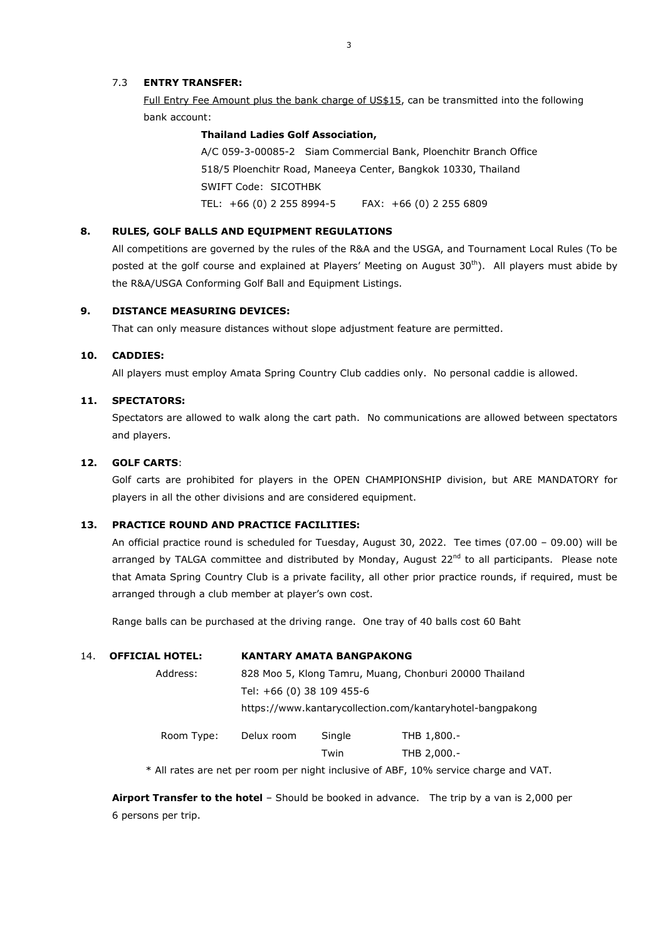# 7.3 **ENTRY TRANSFER:**

Full Entry Fee Amount plus the bank charge of US\$15, can be transmitted into the following bank account:

#### **Thailand Ladies Golf Association,**

A/C 059-3-00085-2 Siam Commercial Bank, Ploenchitr Branch Office 518/5 Ploenchitr Road, Maneeya Center, Bangkok 10330, Thailand SWIFT Code: SICOTHBK TEL: +66 (0) 2 255 8994-5 FAX: +66 (0) 2 255 6809

### **8. RULES, GOLF BALLS AND EQUIPMENT REGULATIONS**

All competitions are governed by the rules of the R&A and the USGA, and Tournament Local Rules (To be posted at the golf course and explained at Players' Meeting on August 30<sup>th</sup>). All players must abide by the R&A/USGA Conforming Golf Ball and Equipment Listings.

### **9. DISTANCE MEASURING DEVICES:**

That can only measure distances without slope adjustment feature are permitted.

### **10. CADDIES:**

All players must employ Amata Spring Country Club caddies only. No personal caddie is allowed.

## **11. SPECTATORS:**

Spectators are allowed to walk along the cart path. No communications are allowed between spectators and players.

### **12. GOLF CARTS**:

Golf carts are prohibited for players in the OPEN CHAMPIONSHIP division, but ARE MANDATORY for players in all the other divisions and are considered equipment.

### **13. PRACTICE ROUND AND PRACTICE FACILITIES:**

An official practice round is scheduled for Tuesday, August 30, 2022. Tee times (07.00 – 09.00) will be arranged by TALGA committee and distributed by Monday, August 22<sup>nd</sup> to all participants. Please note that Amata Spring Country Club is a private facility, all other prior practice rounds, if required, must be arranged through a club member at player's own cost.

Range balls can be purchased at the driving range. One tray of 40 balls cost 60 Baht

| 14. | <b>OFFICIAL HOTEL:</b> | <b>KANTARY AMATA BANGPAKONG</b>                           |        |             |
|-----|------------------------|-----------------------------------------------------------|--------|-------------|
|     | Address:               | 828 Moo 5, Klong Tamru, Muang, Chonburi 20000 Thailand    |        |             |
|     |                        | Tel: +66 (0) 38 109 455-6                                 |        |             |
|     |                        | https://www.kantarycollection.com/kantaryhotel-bangpakong |        |             |
|     | Room Type:             | Delux room                                                | Single | THB 1,800.- |
|     |                        |                                                           | Twin   | THB 2,000.- |

\* All rates are net per room per night inclusive of ABF, 10% service charge and VAT.

**Airport Transfer to the hotel** – Should be booked in advance. The trip by a van is 2,000 per 6 persons per trip.